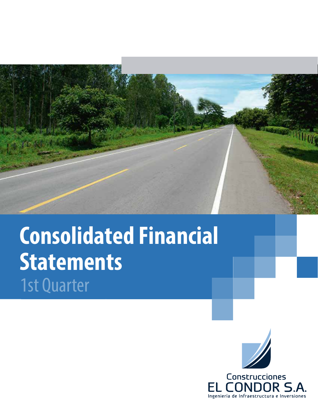

# **Consolidated Financial Statements** 1st Quarter



OR S./ Ingeniería de Infraestructura e Inversiones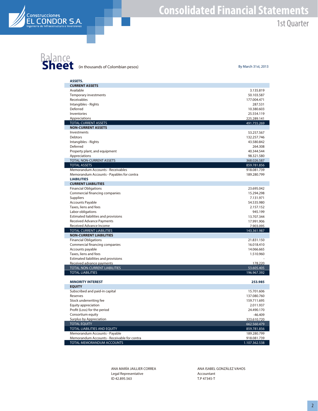

### **Consolidated Financial Statements** 1st Quarter

## **Balance**<br> **Sheet** (in thousands of Colombian pesos) By March 31st, 2013

| <b>ASSETS.</b>                                                |                            |
|---------------------------------------------------------------|----------------------------|
| <b>CURRENT ASSETS</b>                                         |                            |
| Available                                                     | 3.135.819                  |
| Temporary investments                                         | 50.103.587                 |
| Receivables                                                   | 177.004.471                |
| Intangibles - Rights                                          | 287.531                    |
| Deferred                                                      | 10.380.603                 |
| Inventories                                                   | 25.554.119                 |
| Appreciations                                                 | 225.289.141                |
| <b>TOTAL CURRENT ASSETS</b>                                   | 491.755.269                |
| <b>NON-CURRENT ASSETS</b>                                     |                            |
| Investments                                                   | 53.257.567                 |
| <b>Debtors</b>                                                | 132.257.746                |
| Intangibles - Rights                                          | 43.580.842                 |
| Deferred                                                      | 264.308                    |
| Property plant, and equipment                                 | 40.344.544                 |
| Appreciations                                                 | 98.321.580                 |
| TOTAL NON-CURRENT ASSETS<br><b>TOTAL ASSETS</b>               | 368.026.587                |
| Memorandum Accounts - Receivables                             | 859.781.856<br>918.081.739 |
| Memorandum Accounts - Payables for contra                     | 189.280.799                |
| <b>LIABILITIES</b>                                            |                            |
| <b>CURRENT LIABILITIES</b>                                    |                            |
| <b>Financial Obligations</b>                                  | 23.695.042                 |
| Commercial financing companies                                | 15.294.298                 |
| Suppliers                                                     | 7.131.971                  |
| <b>Accounts Payable</b>                                       | 54.535.980                 |
| Taxes, liens and fees                                         | 2.157.152                  |
| Labor obligations                                             | 945.199                    |
| Estimated liabilities and provisions                          | 13.707.344                 |
| Received Advance Payments                                     | 17.991.906                 |
| Received Advance Income                                       | 7.903.095                  |
| <b>TOTAL CURRENT LIABILITIES</b>                              | 143.361.987                |
| <b>NON-CURRENT LIABILITIES</b>                                |                            |
| <b>Financial Obligations</b>                                  | 21.831.150                 |
| Commercial financing companies                                | 16.018.410                 |
| Accounts payable                                              | 14.066.665                 |
| Taxes, liens and fees                                         | 1.510.960                  |
| Estimated liabilities and provisions                          |                            |
| Received advance payments                                     | 178.220                    |
| TOTAL NON-CURRENT LIABILITIES                                 | 53.605.405                 |
| <b>TOTAL LIABILITIES</b>                                      | 196.967.392                |
|                                                               |                            |
| <b>MINORITY INTEREST</b>                                      | 253.985                    |
| <b>EQUITY</b>                                                 |                            |
| Subscribed and paid-in capital                                | 15.701.606                 |
| Reserves                                                      | 137.080.760                |
| Stock underwriting fee                                        | 159.711.695                |
| Equity appreciation                                           | 2.011.937                  |
| Profit (Loss) for the period                                  | 24.490.170                 |
| Consortium equity                                             | $-46.409$                  |
| Surplus by Appreciation                                       | 323.610.720                |
| <b>TOTAL EQUITY</b>                                           | 662.560.479                |
| TOTAL LIABILITIES AND EQUITY<br>Memorandum Accounts - Payable | 859.781.856<br>189.280.799 |
| Memorandum Accounts - Receivable for contra                   | 918.081.739                |
| <b>TOTAL MEMORANDUM ACCOUNTS</b>                              | 1.107.362.538              |
|                                                               |                            |

ANA MARÍA JAILLIER CORREA Legal Representative ID 42.895.563

ANA ISABEL GONZÁLEZ VAHOS Accountant T.P 47345-T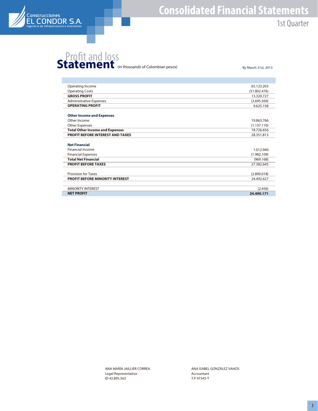

#### **Consolidated Financial Statements** 1st Quarter

## **Statement** (in thousands of Colombian pesos) By March 31st, 2013

| Operating Income                       | 65.123.203   |
|----------------------------------------|--------------|
| <b>Operating Costs</b>                 | (51.802.476) |
| <b>GROSS PROFIT</b>                    | 13.320.727   |
| <b>Administrative Expenses</b>         | (3.695.569)  |
| <b>OPERATING PROFIT</b>                | 9.625.158    |
| <b>Other Income and Expenses</b>       |              |
| Other Income                           | 19.863.766   |
| <b>Other Expenses</b>                  | (1.137.110)  |
| <b>Total Other Income and Expenses</b> | 18.726.656   |
| PROFIT BEFORE INTEREST AND TAXES       | 28.351.813   |
|                                        |              |
| <b>Net Financial</b>                   |              |
| <b>Financial Income</b>                | 1.012.940    |
| <b>Financial Expenses</b>              | (1.982.109)  |
| <b>Total Net Financial</b>             | (969.168)    |
| <b>PROFIT BEFORE TAXES</b>             | 27.382.645   |
|                                        |              |
| <b>Provision for Taxes</b>             | (2.890.018)  |
| <b>PROFIT BEFORE MINORITY INTEREST</b> | 24.492.627   |
|                                        |              |
| <b>MINORITY INTEREST</b>               | (2.456)      |
| <b>NET PROFIT</b>                      | 24.490.171   |

ANA MARÍA JAILLIER CORREA Legal Representative ID 42.895.563

ANA ISABEL GONZÁLEZ VAHOS Accountant T.P 47345-T